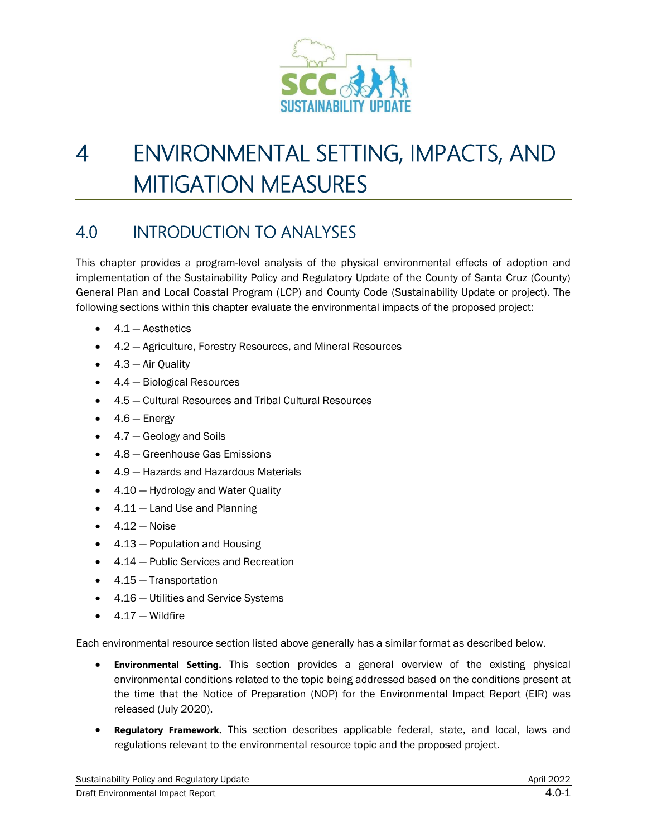

# 4 ENVIRONMENTAL SETTING, IMPACTS, AND MITIGATION MEASURES

# 4.0 INTRODUCTION TO ANALYSES

This chapter provides a program-level analysis of the physical environmental effects of adoption and implementation of the Sustainability Policy and Regulatory Update of the County of Santa Cruz (County) General Plan and Local Coastal Program (LCP) and County Code (Sustainability Update or project). The following sections within this chapter evaluate the environmental impacts of the proposed project:

- $\bullet$  4.1 Aesthetics
- 4.2 Agriculture, Forestry Resources, and Mineral Resources
- $\bullet$  4.3 Air Quality
- 4.4 Biological Resources
- 4.5 Cultural Resources and Tribal Cultural Resources
- $\bullet$  4.6 Energy
- 4.7 Geology and Soils
- 4.8 Greenhouse Gas Emissions
- 4.9 Hazards and Hazardous Materials
- 4.10 Hydrology and Water Quality
- $\bullet$  4.11 Land Use and Planning
- $\bullet$  4.12 Noise
- 4.13 Population and Housing
- 4.14 Public Services and Recreation
- 4.15 Transportation
- 4.16 Utilities and Service Systems
- $4.17 -$  Wildfire

Each environmental resource section listed above generally has a similar format as described below.

- **Environmental Setting.** This section provides a general overview of the existing physical environmental conditions related to the topic being addressed based on the conditions present at the time that the Notice of Preparation (NOP) for the Environmental Impact Report (EIR) was released (July 2020).
- **Regulatory Framework.** This section describes applicable federal, state, and local, laws and regulations relevant to the environmental resource topic and the proposed project.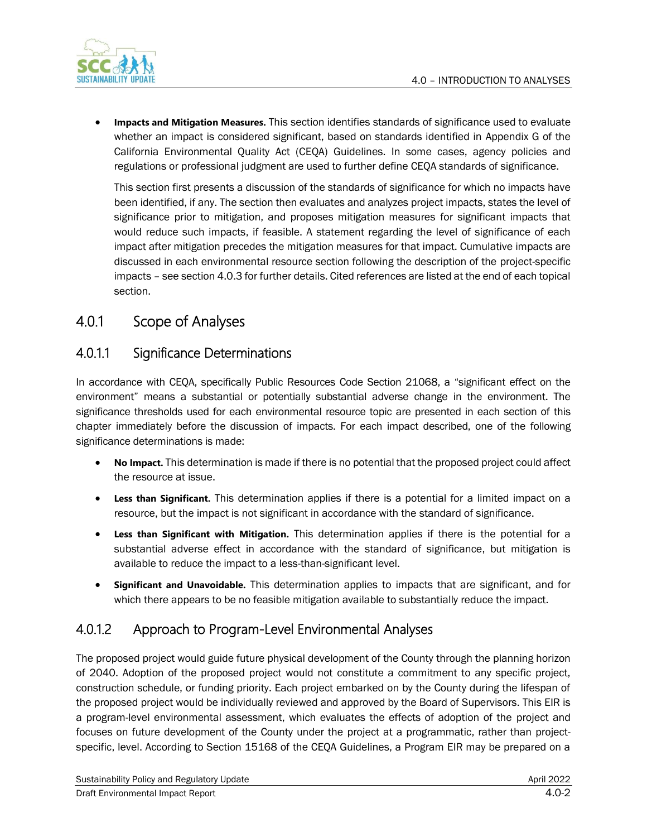

• **Impacts and Mitigation Measures.** This section identifies standards of significance used to evaluate whether an impact is considered significant, based on standards identified in Appendix G of the California Environmental Quality Act (CEQA) Guidelines. In some cases, agency policies and regulations or professional judgment are used to further define CEQA standards of significance.

This section first presents a discussion of the standards of significance for which no impacts have been identified, if any. The section then evaluates and analyzes project impacts, states the level of significance prior to mitigation, and proposes mitigation measures for significant impacts that would reduce such impacts, if feasible. A statement regarding the level of significance of each impact after mitigation precedes the mitigation measures for that impact. Cumulative impacts are discussed in each environmental resource section following the description of the project-specific impacts – see section 4.0.3 for further details. Cited references are listed at the end of each topical section.

# 4.0.1 Scope of Analyses

# 4.0.1.1 Significance Determinations

In accordance with CEQA, specifically Public Resources Code Section 21068, a "significant effect on the environment" means a substantial or potentially substantial adverse change in the environment. The significance thresholds used for each environmental resource topic are presented in each section of this chapter immediately before the discussion of impacts. For each impact described, one of the following significance determinations is made:

- **No Impact.** This determination is made if there is no potential that the proposed project could affect the resource at issue.
- **Less than Significant.** This determination applies if there is a potential for a limited impact on a resource, but the impact is not significant in accordance with the standard of significance.
- **Less than Significant with Mitigation.** This determination applies if there is the potential for a substantial adverse effect in accordance with the standard of significance, but mitigation is available to reduce the impact to a less-than-significant level.
- **Significant and Unavoidable.** This determination applies to impacts that are significant, and for which there appears to be no feasible mitigation available to substantially reduce the impact.

### 4.0.1.2 Approach to Program-Level Environmental Analyses

The proposed project would guide future physical development of the County through the planning horizon of 2040. Adoption of the proposed project would not constitute a commitment to any specific project, construction schedule, or funding priority. Each project embarked on by the County during the lifespan of the proposed project would be individually reviewed and approved by the Board of Supervisors. This EIR is a program-level environmental assessment, which evaluates the effects of adoption of the project and focuses on future development of the County under the project at a programmatic, rather than projectspecific, level. According to Section 15168 of the CEQA Guidelines, a Program EIR may be prepared on a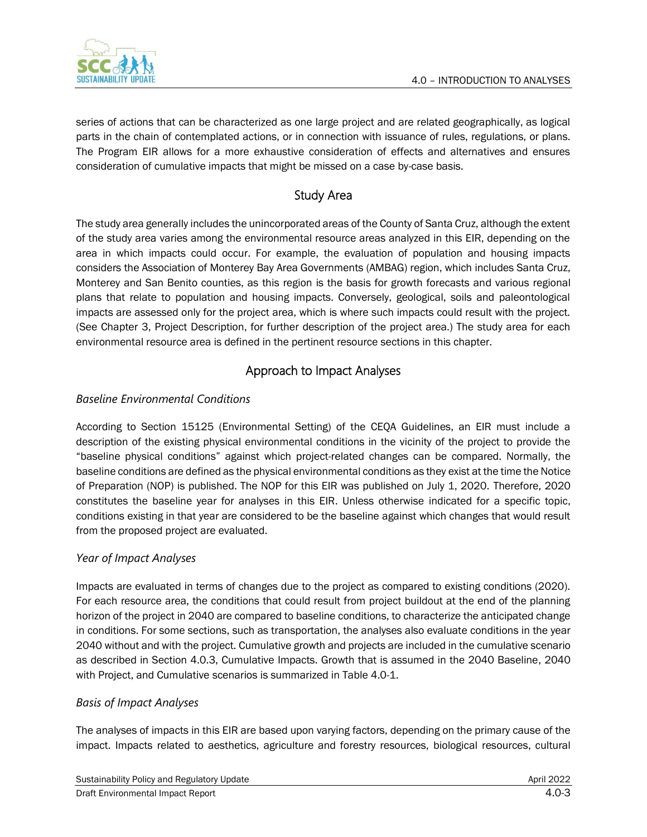

series of actions that can be characterized as one large project and are related geographically, as logical parts in the chain of contemplated actions, or in connection with issuance of rules, regulations, or plans. The Program EIR allows for a more exhaustive consideration of effects and alternatives and ensures consideration of cumulative impacts that might be missed on a case by-case basis.

### Study Area

The study area generally includes the unincorporated areas of the County of Santa Cruz, although the extent of the study area varies among the environmental resource areas analyzed in this EIR, depending on the area in which impacts could occur. For example, the evaluation of population and housing impacts considers the Association of Monterey Bay Area Governments (AMBAG) region, which includes Santa Cruz, Monterey and San Benito counties, as this region is the basis for growth forecasts and various regional plans that relate to population and housing impacts. Conversely, geological, soils and paleontological impacts are assessed only for the project area, which is where such impacts could result with the project. (See Chapter 3, Project Description, for further description of the project area.) The study area for each environmental resource area is defined in the pertinent resource sections in this chapter.

### Approach to Impact Analyses

#### *Baseline Environmental Conditions*

According to Section 15125 (Environmental Setting) of the CEQA Guidelines, an EIR must include a description of the existing physical environmental conditions in the vicinity of the project to provide the "baseline physical conditions" against which project-related changes can be compared. Normally, the baseline conditions are defined as the physical environmental conditions as they exist at the time the Notice of Preparation (NOP) is published. The NOP for this EIR was published on July 1, 2020. Therefore, 2020 constitutes the baseline year for analyses in this EIR. Unless otherwise indicated for a specific topic, conditions existing in that year are considered to be the baseline against which changes that would result from the proposed project are evaluated.

#### *Year of Impact Analyses*

Impacts are evaluated in terms of changes due to the project as compared to existing conditions (2020). For each resource area, the conditions that could result from project buildout at the end of the planning horizon of the project in 2040 are compared to baseline conditions, to characterize the anticipated change in conditions. For some sections, such as transportation, the analyses also evaluate conditions in the year 2040 without and with the project. Cumulative growth and projects are included in the cumulative scenario as described in Section 4.0.3, Cumulative Impacts. Growth that is assumed in the 2040 Baseline, 2040 with Project, and Cumulative scenarios is summarized in Table 4.0-1.

#### *Basis of Impact Analyses*

The analyses of impacts in this EIR are based upon varying factors, depending on the primary cause of the impact. Impacts related to aesthetics, agriculture and forestry resources, biological resources, cultural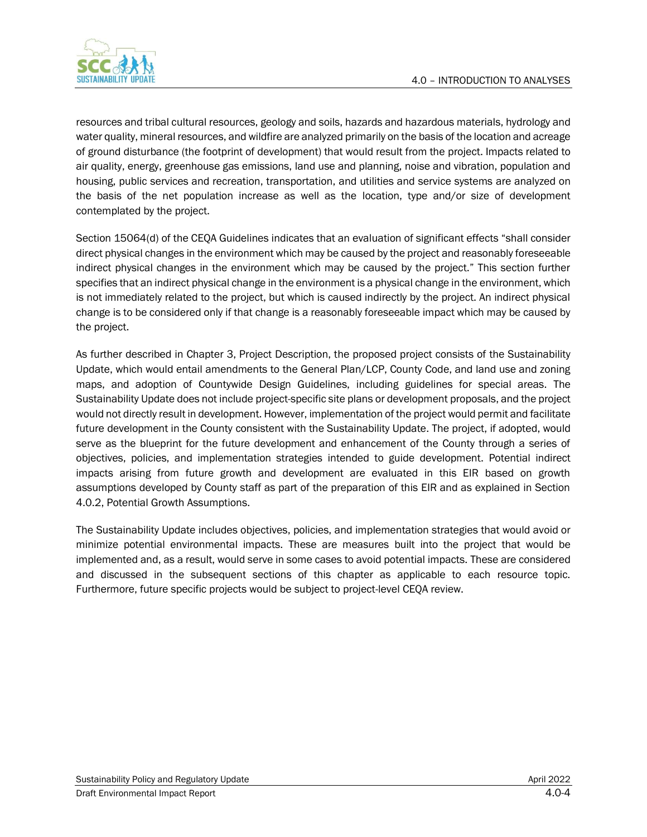

resources and tribal cultural resources, geology and soils, hazards and hazardous materials, hydrology and water quality, mineral resources, and wildfire are analyzed primarily on the basis of the location and acreage of ground disturbance (the footprint of development) that would result from the project. Impacts related to air quality, energy, greenhouse gas emissions, land use and planning, noise and vibration, population and housing, public services and recreation, transportation, and utilities and service systems are analyzed on the basis of the net population increase as well as the location, type and/or size of development contemplated by the project.

Section 15064(d) of the CEQA Guidelines indicates that an evaluation of significant effects "shall consider direct physical changes in the environment which may be caused by the project and reasonably foreseeable indirect physical changes in the environment which may be caused by the project." This section further specifies that an indirect physical change in the environment is a physical change in the environment, which is not immediately related to the project, but which is caused indirectly by the project. An indirect physical change is to be considered only if that change is a reasonably foreseeable impact which may be caused by the project.

As further described in Chapter 3, Project Description, the proposed project consists of the Sustainability Update, which would entail amendments to the General Plan/LCP, County Code, and land use and zoning maps, and adoption of Countywide Design Guidelines, including guidelines for special areas. The Sustainability Update does not include project-specific site plans or development proposals, and the project would not directly result in development. However, implementation of the project would permit and facilitate future development in the County consistent with the Sustainability Update. The project, if adopted, would serve as the blueprint for the future development and enhancement of the County through a series of objectives, policies, and implementation strategies intended to guide development. Potential indirect impacts arising from future growth and development are evaluated in this EIR based on growth assumptions developed by County staff as part of the preparation of this EIR and as explained in Section 4.0.2, Potential Growth Assumptions.

The Sustainability Update includes objectives, policies, and implementation strategies that would avoid or minimize potential environmental impacts. These are measures built into the project that would be implemented and, as a result, would serve in some cases to avoid potential impacts. These are considered and discussed in the subsequent sections of this chapter as applicable to each resource topic. Furthermore, future specific projects would be subject to project-level CEQA review.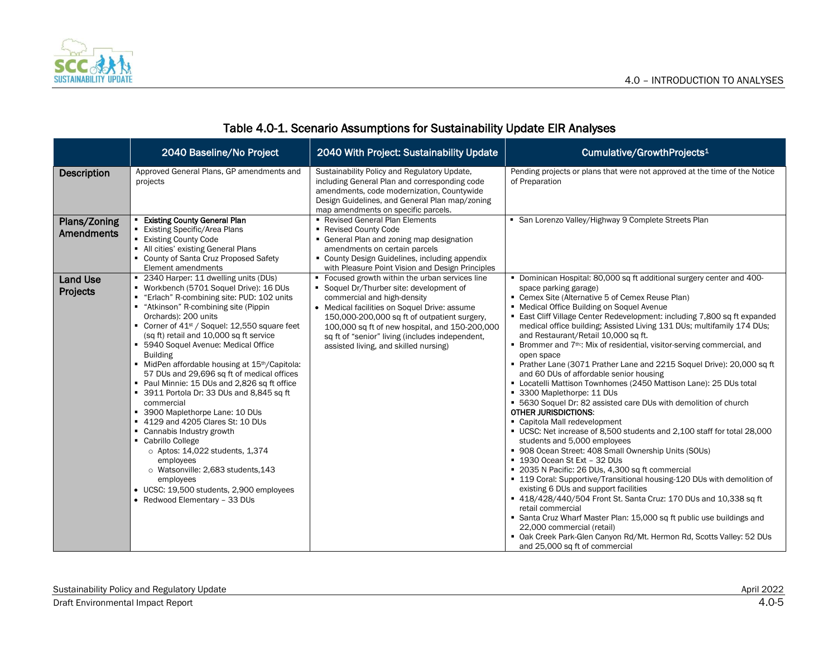

|                             | 2040 Baseline/No Project                                                                                                                                                                                                                                                                                                                                                                                                                                                                                                                                                                                                                                                                                                                                                                                                                                                                    | 2040 With Project: Sustainability Update                                                                                                                                                                                                                                                                                                                                 | Cumulative/GrowthProjects <sup>1</sup>                                                                                                                                                                                                                                                                                                                                                                                                                                                                                                                                                                                                                                                                                                                                                                                                                                                                                                                                                                                                                                                                                                                                                                                                                                                                                                                                                                                                                                                                                                             |
|-----------------------------|---------------------------------------------------------------------------------------------------------------------------------------------------------------------------------------------------------------------------------------------------------------------------------------------------------------------------------------------------------------------------------------------------------------------------------------------------------------------------------------------------------------------------------------------------------------------------------------------------------------------------------------------------------------------------------------------------------------------------------------------------------------------------------------------------------------------------------------------------------------------------------------------|--------------------------------------------------------------------------------------------------------------------------------------------------------------------------------------------------------------------------------------------------------------------------------------------------------------------------------------------------------------------------|----------------------------------------------------------------------------------------------------------------------------------------------------------------------------------------------------------------------------------------------------------------------------------------------------------------------------------------------------------------------------------------------------------------------------------------------------------------------------------------------------------------------------------------------------------------------------------------------------------------------------------------------------------------------------------------------------------------------------------------------------------------------------------------------------------------------------------------------------------------------------------------------------------------------------------------------------------------------------------------------------------------------------------------------------------------------------------------------------------------------------------------------------------------------------------------------------------------------------------------------------------------------------------------------------------------------------------------------------------------------------------------------------------------------------------------------------------------------------------------------------------------------------------------------------|
| <b>Description</b>          | Approved General Plans, GP amendments and<br>projects                                                                                                                                                                                                                                                                                                                                                                                                                                                                                                                                                                                                                                                                                                                                                                                                                                       | Sustainability Policy and Regulatory Update,<br>including General Plan and corresponding code<br>amendments, code modernization, Countywide<br>Design Guidelines, and General Plan map/zoning<br>map amendments on specific parcels.                                                                                                                                     | Pending projects or plans that were not approved at the time of the Notice<br>of Preparation                                                                                                                                                                                                                                                                                                                                                                                                                                                                                                                                                                                                                                                                                                                                                                                                                                                                                                                                                                                                                                                                                                                                                                                                                                                                                                                                                                                                                                                       |
| Plans/Zoning<br>Amendments  | <b>Existing County General Plan</b><br>■ Existing Specific/Area Plans<br>■ Existing County Code<br>• All cities' existing General Plans<br>• County of Santa Cruz Proposed Safety<br>Element amendments                                                                                                                                                                                                                                                                                                                                                                                                                                                                                                                                                                                                                                                                                     | Revised General Plan Elements<br>■ Revised County Code<br>• General Plan and zoning map designation<br>amendments on certain parcels<br>• County Design Guidelines, including appendix<br>with Pleasure Point Vision and Design Principles                                                                                                                               | • San Lorenzo Valley/Highway 9 Complete Streets Plan                                                                                                                                                                                                                                                                                                                                                                                                                                                                                                                                                                                                                                                                                                                                                                                                                                                                                                                                                                                                                                                                                                                                                                                                                                                                                                                                                                                                                                                                                               |
| <b>Land Use</b><br>Projects | • 2340 Harper: 11 dwelling units (DUs)<br>■ Workbench (5701 Soquel Drive): 16 DUs<br>■ "Erlach" R-combining site: PUD: 102 units<br>■ "Atkinson" R-combining site (Pippin<br>Orchards): 200 units<br>Corner of $41st$ / Soquel: 12,550 square feet<br>(sq ft) retail and 10,000 sq ft service<br>• 5940 Soquel Avenue: Medical Office<br><b>Building</b><br>MidPen affordable housing at 15 <sup>th</sup> /Capitola:<br>57 DUs and 29,696 sq ft of medical offices<br>• Paul Minnie: 15 DUs and 2,826 sq ft office<br>3911 Portola Dr: 33 DUs and 8,845 sq ft<br>commercial<br>3900 Maplethorpe Lane: 10 DUs<br>■ 4129 and 4205 Clares St: 10 DUs<br>• Cannabis Industry growth<br>• Cabrillo College<br>$\circ$ Aptos: 14,022 students, 1,374<br>employees<br>o Watsonville: 2,683 students, 143<br>employees<br>• UCSC: 19,500 students, 2,900 employees<br>• Redwood Elementary - 33 DUs | • Focused growth within the urban services line<br>• Soquel Dr/Thurber site: development of<br>commercial and high-density<br>• Medical facilities on Soquel Drive: assume<br>150,000-200,000 sq ft of outpatient surgery,<br>100,000 sq ft of new hospital, and 150-200,000<br>sq ft of "senior" living (includes independent,<br>assisted living, and skilled nursing) | . Dominican Hospital: 80,000 sq ft additional surgery center and 400-<br>space parking garage)<br>• Cemex Site (Alternative 5 of Cemex Reuse Plan)<br>• Medical Office Building on Soquel Avenue<br><b>East Cliff Village Center Redevelopment: including 7,800 sq ft expanded</b><br>medical office building; Assisted Living 131 DUs; multifamily 174 DUs;<br>and Restaurant/Retail 10,000 sq ft.<br>• Brommer and 7 <sup>th:</sup> Mix of residential, visitor-serving commercial, and<br>open space<br>Prather Lane (3071 Prather Lane and 2215 Soquel Drive): 20,000 sq ft<br>and 60 DUs of affordable senior housing<br>" Locatelli Mattison Townhomes (2450 Mattison Lane): 25 DUs total<br>■ 3300 Maplethorpe: 11 DUs<br>• 5630 Soquel Dr: 82 assisted care DUs with demolition of church<br><b>OTHER JURISDICTIONS:</b><br>• Capitola Mall redevelopment<br>UCSC: Net increase of 8,500 students and 2,100 staff for total 28,000<br>students and 5,000 employees<br>• 908 Ocean Street: 408 Small Ownership Units (SOUs)<br>■ 1930 Ocean St Ext - 32 DUs<br>■ 2035 N Pacific: 26 DUs, 4,300 sq ft commercial<br>• 119 Coral: Supportive/Transitional housing-120 DUs with demolition of<br>existing 6 DUs and support facilities<br>418/428/440/504 Front St. Santa Cruz: 170 DUs and 10,338 sq ft<br>retail commercial<br>• Santa Cruz Wharf Master Plan: 15,000 sq ft public use buildings and<br>22,000 commercial (retail)<br>• Oak Creek Park-Glen Canyon Rd/Mt. Hermon Rd, Scotts Valley: 52 DUs<br>and 25,000 sq ft of commercial |

### Table 4.0-1. Scenario Assumptions for Sustainability Update EIR Analyses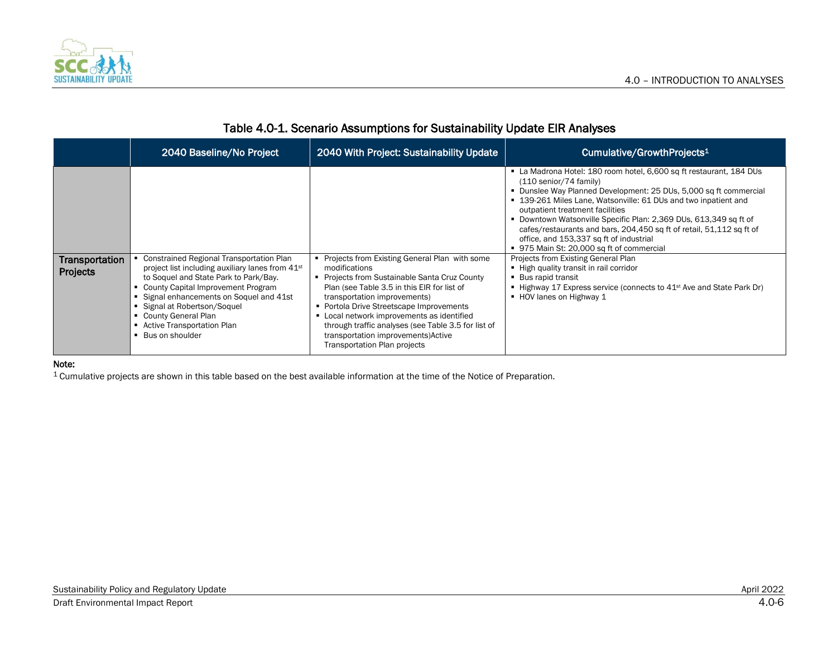

|                            | 2040 Baseline/No Project                                                                                                                                                                                                                                            | 2040 With Project: Sustainability Update                                                                                                                                                                                                 | Cumulative/GrowthProjects <sup>1</sup>                                                                                                                                                                                                                                                                                                                                                                                                                                                                                                                                                                                                                                                                                                  |
|----------------------------|---------------------------------------------------------------------------------------------------------------------------------------------------------------------------------------------------------------------------------------------------------------------|------------------------------------------------------------------------------------------------------------------------------------------------------------------------------------------------------------------------------------------|-----------------------------------------------------------------------------------------------------------------------------------------------------------------------------------------------------------------------------------------------------------------------------------------------------------------------------------------------------------------------------------------------------------------------------------------------------------------------------------------------------------------------------------------------------------------------------------------------------------------------------------------------------------------------------------------------------------------------------------------|
| Transportation<br>Projects | Constrained Regional Transportation Plan<br>project list including auxiliary lanes from 41 <sup>st</sup><br>to Soquel and State Park to Park/Bay.<br>• County Capital Improvement Program<br>Signal enhancements on Soquel and 41st<br>• Signal at Robertson/Soquel | Projects from Existing General Plan with some<br>modifications<br>Projects from Sustainable Santa Cruz County<br>Plan (see Table 3.5 in this EIR for list of<br>transportation improvements)<br>• Portola Drive Streetscape Improvements | • La Madrona Hotel: 180 room hotel, 6,600 sq ft restaurant, 184 DUs<br>(110 senior/74 family)<br>• Dunslee Way Planned Development: 25 DUs, 5,000 sq ft commercial<br>■ 139-261 Miles Lane, Watsonville: 61 DUs and two inpatient and<br>outpatient treatment facilities<br>• Downtown Watsonville Specific Plan: 2,369 DUs, 613,349 sq ft of<br>cafes/restaurants and bars, 204,450 sq ft of retail, 51,112 sq ft of<br>office, and 153,337 sq ft of industrial<br>■ 975 Main St: 20,000 sq ft of commercial<br>Projects from Existing General Plan<br>- High quality transit in rail corridor<br>■ Bus rapid transit<br>■ Highway 17 Express service (connects to 41 <sup>st</sup> Ave and State Park Dr)<br>■ HOV lanes on Highway 1 |
|                            | • County General Plan<br>■ Active Transportation Plan<br>■ Bus on shoulder                                                                                                                                                                                          | • Local network improvements as identified<br>through traffic analyses (see Table 3.5 for list of<br>transportation improvements) Active<br>Transportation Plan projects                                                                 |                                                                                                                                                                                                                                                                                                                                                                                                                                                                                                                                                                                                                                                                                                                                         |

# Table 4.0-1. Scenario Assumptions for Sustainability Update EIR Analyses

#### Note:

1 Cumulative projects are shown in this table based on the best available information at the time of the Notice of Preparation.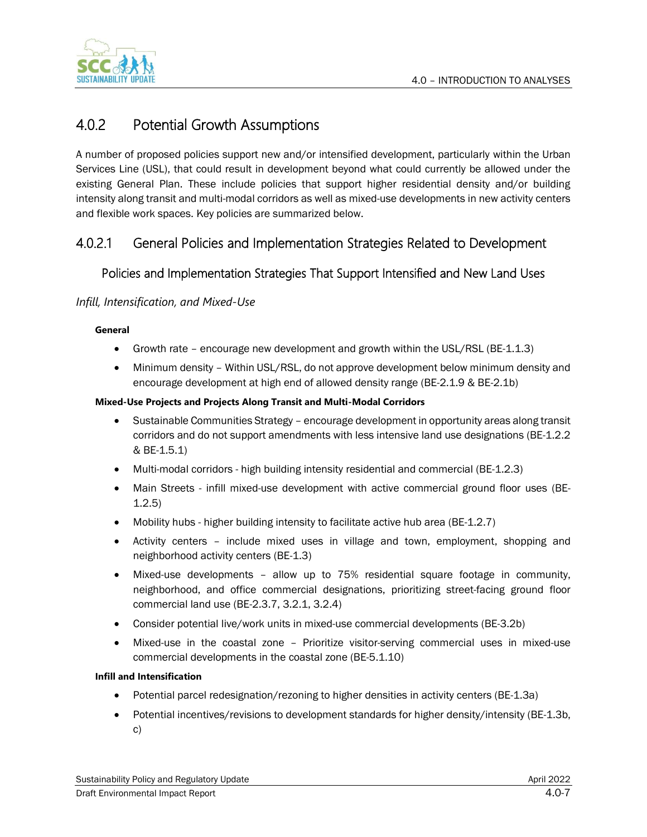

# 4.0.2 Potential Growth Assumptions

A number of proposed policies support new and/or intensified development, particularly within the Urban Services Line (USL), that could result in development beyond what could currently be allowed under the existing General Plan. These include policies that support higher residential density and/or building intensity along transit and multi-modal corridors as well as mixed-use developments in new activity centers and flexible work spaces. Key policies are summarized below.

# 4.0.2.1 General Policies and Implementation Strategies Related to Development

### Policies and Implementation Strategies That Support Intensified and New Land Uses

#### *Infill, Intensification, and Mixed-Use*

#### **General**

- Growth rate encourage new development and growth within the USL/RSL (BE-1.1.3)
- Minimum density Within USL/RSL, do not approve development below minimum density and encourage development at high end of allowed density range (BE-2.1.9 & BE-2.1b)

#### **Mixed-Use Projects and Projects Along Transit and Multi-Modal Corridors**

- Sustainable Communities Strategy encourage development in opportunity areas along transit corridors and do not support amendments with less intensive land use designations (BE-1.2.2 & BE-1.5.1)
- Multi-modal corridors high building intensity residential and commercial (BE-1.2.3)
- Main Streets infill mixed-use development with active commercial ground floor uses (BE-1.2.5)
- Mobility hubs higher building intensity to facilitate active hub area (BE-1.2.7)
- Activity centers include mixed uses in village and town, employment, shopping and neighborhood activity centers (BE-1.3)
- Mixed-use developments allow up to 75% residential square footage in community, neighborhood, and office commercial designations, prioritizing street-facing ground floor commercial land use (BE-2.3.7, 3.2.1, 3.2.4)
- Consider potential live/work units in mixed-use commercial developments (BE-3.2b)
- Mixed-use in the coastal zone Prioritize visitor-serving commercial uses in mixed-use commercial developments in the coastal zone (BE-5.1.10)

#### **Infill and Intensification**

- Potential parcel redesignation/rezoning to higher densities in activity centers (BE-1.3a)
- Potential incentives/revisions to development standards for higher density/intensity (BE-1.3b, c)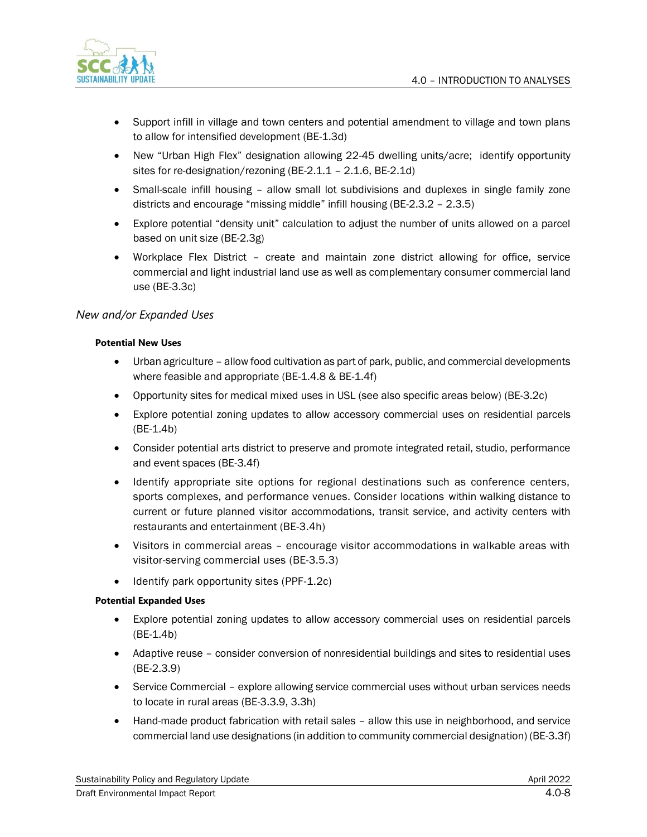

- Support infill in village and town centers and potential amendment to village and town plans to allow for intensified development (BE-1.3d)
- New "Urban High Flex" designation allowing 22-45 dwelling units/acre; identify opportunity sites for re-designation/rezoning (BE-2.1.1 – 2.1.6, BE-2.1d)
- Small-scale infill housing allow small lot subdivisions and duplexes in single family zone districts and encourage "missing middle" infill housing (BE-2.3.2 – 2.3.5)
- Explore potential "density unit" calculation to adjust the number of units allowed on a parcel based on unit size (BE-2.3g)
- Workplace Flex District create and maintain zone district allowing for office, service commercial and light industrial land use as well as complementary consumer commercial land use (BE-3.3c)

#### *New and/or Expanded Uses*

#### **Potential New Uses**

- Urban agriculture allow food cultivation as part of park, public, and commercial developments where feasible and appropriate (BE-1.4.8 & BE-1.4f)
- Opportunity sites for medical mixed uses in USL (see also specific areas below) (BE-3.2c)
- Explore potential zoning updates to allow accessory commercial uses on residential parcels (BE-1.4b)
- Consider potential arts district to preserve and promote integrated retail, studio, performance and event spaces (BE-3.4f)
- Identify appropriate site options for regional destinations such as conference centers, sports complexes, and performance venues. Consider locations within walking distance to current or future planned visitor accommodations, transit service, and activity centers with restaurants and entertainment (BE-3.4h)
- Visitors in commercial areas encourage visitor accommodations in walkable areas with visitor-serving commercial uses (BE-3.5.3)
- Identify park opportunity sites (PPF-1.2c)

#### **Potential Expanded Uses**

- Explore potential zoning updates to allow accessory commercial uses on residential parcels (BE-1.4b)
- Adaptive reuse consider conversion of nonresidential buildings and sites to residential uses (BE-2.3.9)
- Service Commercial explore allowing service commercial uses without urban services needs to locate in rural areas (BE-3.3.9, 3.3h)
- Hand-made product fabrication with retail sales allow this use in neighborhood, and service commercial land use designations (in addition to community commercial designation) (BE-3.3f)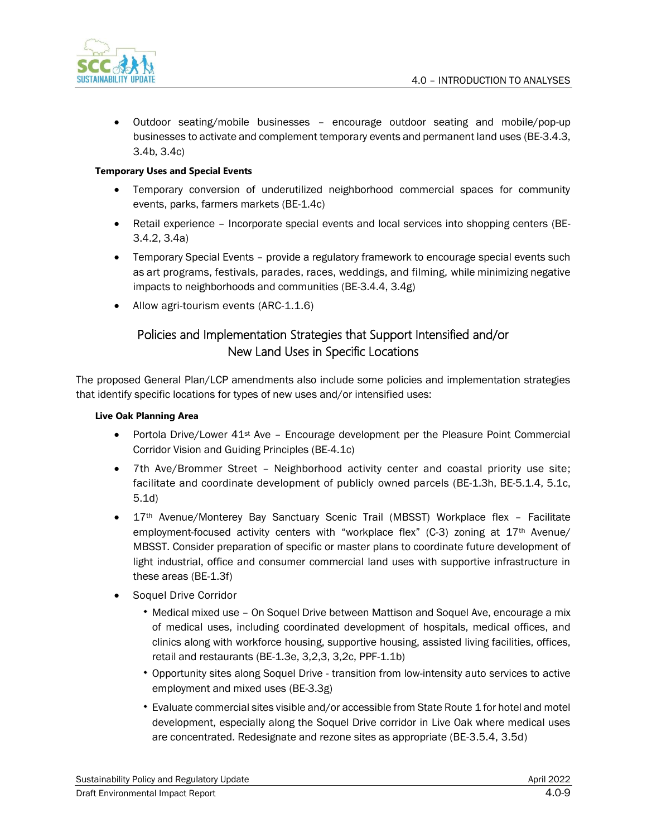

• Outdoor seating/mobile businesses – encourage outdoor seating and mobile/pop-up businesses to activate and complement temporary events and permanent land uses (BE-3.4.3, 3.4b, 3.4c)

#### **Temporary Uses and Special Events**

- Temporary conversion of underutilized neighborhood commercial spaces for community events, parks, farmers markets (BE-1.4c)
- Retail experience Incorporate special events and local services into shopping centers (BE-3.4.2, 3.4a)
- Temporary Special Events provide a regulatory framework to encourage special events such as art programs, festivals, parades, races, weddings, and filming, while minimizing negative impacts to neighborhoods and communities (BE-3.4.4, 3.4g)
- Allow agri-tourism events (ARC-1.1.6)

### Policies and Implementation Strategies that Support Intensified and/or New Land Uses in Specific Locations

The proposed General Plan/LCP amendments also include some policies and implementation strategies that identify specific locations for types of new uses and/or intensified uses:

#### **Live Oak Planning Area**

- Portola Drive/Lower 41<sup>st</sup> Ave Encourage development per the Pleasure Point Commercial Corridor Vision and Guiding Principles (BE-4.1c)
- 7th Ave/Brommer Street Neighborhood activity center and coastal priority use site; facilitate and coordinate development of publicly owned parcels (BE-1.3h, BE-5.1.4, 5.1c, 5.1d)
- 17th Avenue/Monterey Bay Sanctuary Scenic Trail (MBSST) Workplace flex Facilitate employment-focused activity centers with "workplace flex" (C-3) zoning at  $17<sup>th</sup>$  Avenue/ MBSST. Consider preparation of specific or master plans to coordinate future development of light industrial, office and consumer commercial land uses with supportive infrastructure in these areas (BE-1.3f)
- Soquel Drive Corridor
	- Medical mixed use On Soquel Drive between Mattison and Soquel Ave, encourage a mix of medical uses, including coordinated development of hospitals, medical offices, and clinics along with workforce housing, supportive housing, assisted living facilities, offices, retail and restaurants (BE-1.3e, 3,2,3, 3,2c, PPF-1.1b)
	- Opportunity sites along Soquel Drive transition from low-intensity auto services to active employment and mixed uses (BE-3.3g)
	- Evaluate commercial sites visible and/or accessible from State Route 1 for hotel and motel development, especially along the Soquel Drive corridor in Live Oak where medical uses are concentrated. Redesignate and rezone sites as appropriate (BE-3.5.4, 3.5d)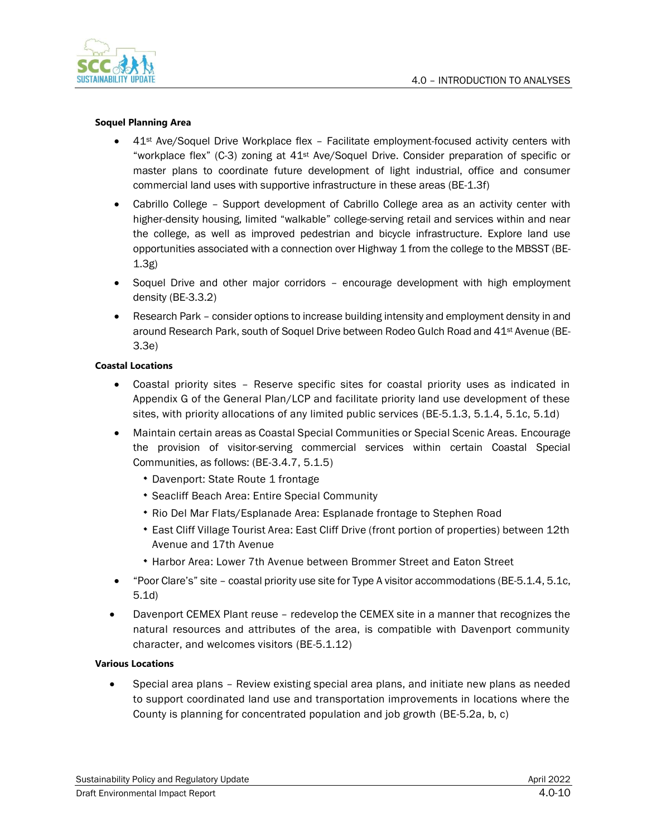

#### **Soquel Planning Area**

- $\bullet$  41<sup>st</sup> Ave/Soquel Drive Workplace flex Facilitate employment-focused activity centers with "workplace flex" (C-3) zoning at  $41<sup>st</sup>$  Ave/Soquel Drive. Consider preparation of specific or master plans to coordinate future development of light industrial, office and consumer commercial land uses with supportive infrastructure in these areas (BE-1.3f)
- Cabrillo College Support development of Cabrillo College area as an activity center with higher-density housing, limited "walkable" college-serving retail and services within and near the college, as well as improved pedestrian and bicycle infrastructure. Explore land use opportunities associated with a connection over Highway 1 from the college to the MBSST (BE-1.3g)
- Soquel Drive and other major corridors encourage development with high employment density (BE-3.3.2)
- Research Park consider options to increase building intensity and employment density in and around Research Park, south of Soquel Drive between Rodeo Gulch Road and 41st Avenue (BE-3.3e)

#### **Coastal Locations**

- Coastal priority sites Reserve specific sites for coastal priority uses as indicated in Appendix G of the General Plan/LCP and facilitate priority land use development of these sites, with priority allocations of any limited public services (BE-5.1.3, 5.1.4, 5.1c, 5.1d)
- Maintain certain areas as Coastal Special Communities or Special Scenic Areas. Encourage the provision of visitor-serving commercial services within certain Coastal Special Communities, as follows: (BE-3.4.7, 5.1.5)
	- Davenport: State Route 1 frontage
	- Seacliff Beach Area: Entire Special Community
	- Rio Del Mar Flats/Esplanade Area: Esplanade frontage to Stephen Road
	- East Cliff Village Tourist Area: East Cliff Drive (front portion of properties) between 12th Avenue and 17th Avenue
	- Harbor Area: Lower 7th Avenue between Brommer Street and Eaton Street
- "Poor Clare's" site coastal priority use site for Type A visitor accommodations (BE-5.1.4, 5.1c, 5.1d)
- Davenport CEMEX Plant reuse redevelop the CEMEX site in a manner that recognizes the natural resources and attributes of the area, is compatible with Davenport community character, and welcomes visitors (BE-5.1.12)

#### **Various Locations**

• Special area plans – Review existing special area plans, and initiate new plans as needed to support coordinated land use and transportation improvements in locations where the County is planning for concentrated population and job growth (BE-5.2a, b, c)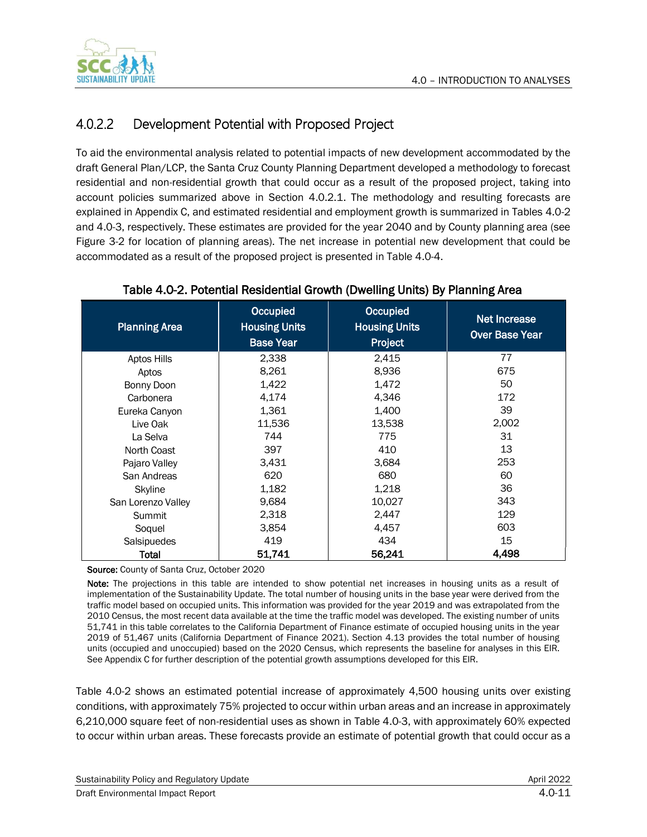

# 4.0.2.2 Development Potential with Proposed Project

To aid the environmental analysis related to potential impacts of new development accommodated by the draft General Plan/LCP, the Santa Cruz County Planning Department developed a methodology to forecast residential and non-residential growth that could occur as a result of the proposed project, taking into account policies summarized above in Section 4.0.2.1. The methodology and resulting forecasts are explained in Appendix C, and estimated residential and employment growth is summarized in Tables 4.0-2 and 4.0-3, respectively. These estimates are provided for the year 2040 and by County planning area (see Figure 3-2 for location of planning areas). The net increase in potential new development that could be accommodated as a result of the proposed project is presented in Table 4.0-4.

| <b>Planning Area</b> | Occupied<br><b>Housing Units</b><br><b>Base Year</b> | Occupied<br><b>Housing Units</b><br>Project | Net Increase<br><b>Over Base Year</b> |
|----------------------|------------------------------------------------------|---------------------------------------------|---------------------------------------|
| Aptos Hills          | 2,338                                                | 2,415                                       | 77                                    |
| Aptos                | 8,261                                                | 8,936                                       | 675                                   |
| Bonny Doon           | 1,422                                                | 1,472                                       | 50                                    |
| Carbonera            | 4,174                                                | 4,346                                       | 172                                   |
| Eureka Canyon        | 1,361                                                | 1,400                                       | 39                                    |
| Live Oak             | 11,536                                               | 13,538                                      | 2,002                                 |
| La Selva             | 744                                                  | 775                                         | 31                                    |
| North Coast          | 397                                                  | 410                                         | 13                                    |
| Pajaro Valley        | 3,431                                                | 3,684                                       | 253                                   |
| San Andreas          | 620                                                  | 680                                         | 60                                    |
| <b>Skyline</b>       | 1,182                                                | 1,218                                       | 36                                    |
| San Lorenzo Valley   | 9,684                                                | 10,027                                      | 343                                   |
| Summit               | 2,318                                                | 2,447                                       | 129                                   |
| Soquel               | 3,854                                                | 4,457                                       | 603                                   |
| Salsipuedes          | 419                                                  | 434                                         | 15                                    |
| Total                | 51,741                                               | 56,241                                      | 4.498                                 |

#### Table 4.0-2. Potential Residential Growth (Dwelling Units) By Planning Area

Source: County of Santa Cruz, October 2020

Note: The projections in this table are intended to show potential net increases in housing units as a result of implementation of the Sustainability Update. The total number of housing units in the base year were derived from the traffic model based on occupied units. This information was provided for the year 2019 and was extrapolated from the 2010 Census, the most recent data available at the time the traffic model was developed. The existing number of units 51,741 in this table correlates to the California Department of Finance estimate of occupied housing units in the year 2019 of 51,467 units (California Department of Finance 2021). Section 4.13 provides the total number of housing units (occupied and unoccupied) based on the 2020 Census, which represents the baseline for analyses in this EIR. See Appendix C for further description of the potential growth assumptions developed for this EIR.

Table 4.0-2 shows an estimated potential increase of approximately 4,500 housing units over existing conditions, with approximately 75% projected to occur within urban areas and an increase in approximately 6,210,000 square feet of non-residential uses as shown in Table 4.0-3, with approximately 60% expected to occur within urban areas. These forecasts provide an estimate of potential growth that could occur as a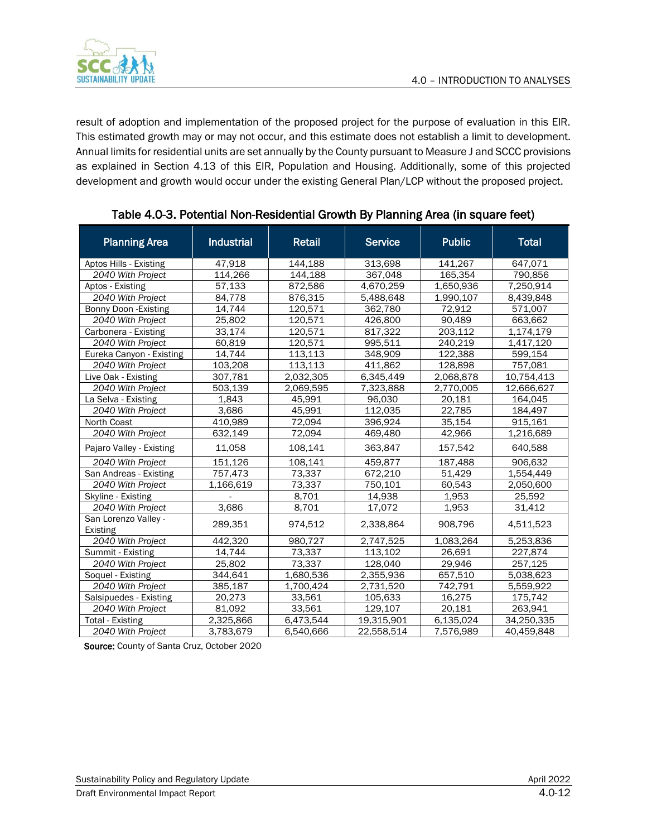

result of adoption and implementation of the proposed project for the purpose of evaluation in this EIR. This estimated growth may or may not occur, and this estimate does not establish a limit to development. Annual limits for residential units are set annually by the County pursuant to Measure J and SCCC provisions as explained in Section 4.13 of this EIR, Population and Housing. Additionally, some of this projected development and growth would occur under the existing General Plan/LCP without the proposed project.

| <b>Planning Area</b>             | <b>Industrial</b> | <b>Retail</b> | <b>Service</b> | <b>Public</b> | <b>Total</b> |
|----------------------------------|-------------------|---------------|----------------|---------------|--------------|
| Aptos Hills - Existing           | 47.918            | 144.188       | 313.698        | 141.267       | 647,071      |
| 2040 With Project                | 114,266           | 144.188       | 367,048        | 165,354       | 790,856      |
| Aptos - Existing                 | 57.133            | 872,586       | 4,670,259      | 1,650,936     | 7,250,914    |
| 2040 With Project                | 84,778            | 876,315       | 5,488,648      | 1,990,107     | 8,439,848    |
| Bonny Doon - Existing            | 14.744            | 120,571       | 362,780        | 72.912        | 571,007      |
| 2040 With Project                | 25,802            | 120,571       | 426,800        | 90,489        | 663,662      |
| Carbonera - Existing             | 33,174            | 120,571       | 817,322        | 203,112       | 1,174,179    |
| 2040 With Project                | 60,819            | 120,571       | 995,511        | 240,219       | 1,417,120    |
| Eureka Canyon - Existing         | 14,744            | 113,113       | 348,909        | 122,388       | 599,154      |
| 2040 With Project                | 103,208           | 113,113       | 411,862        | 128,898       | 757,081      |
| Live Oak - Existing              | 307,781           | 2,032,305     | 6,345,449      | 2,068,878     | 10,754,413   |
| 2040 With Project                | 503,139           | 2,069,595     | 7,323,888      | 2,770,005     | 12,666,627   |
| La Selva - Existing              | 1,843             | 45,991        | 96,030         | 20,181        | 164,045      |
| 2040 With Project                | 3,686             | 45,991        | 112,035        | 22,785        | 184,497      |
| North Coast                      | 410,989           | 72,094        | 396,924        | 35,154        | 915,161      |
| 2040 With Project                | 632,149           | 72,094        | 469,480        | 42,966        | 1,216,689    |
| Pajaro Valley - Existing         | 11,058            | 108,141       | 363,847        | 157,542       | 640,588      |
| 2040 With Project                | 151,126           | 108,141       | 459,877        | 187,488       | 906,632      |
| San Andreas - Existing           | 757,473           | 73,337        | 672,210        | 51,429        | 1,554,449    |
| 2040 With Project                | 1,166,619         | 73,337        | 750,101        | 60,543        | 2,050,600    |
| Skyline - Existing               |                   | 8,701         | 14,938         | 1,953         | 25,592       |
| 2040 With Project                | 3,686             | 8,701         | 17,072         | 1,953         | 31,412       |
| San Lorenzo Valley -<br>Existing | 289,351           | 974,512       | 2,338,864      | 908,796       | 4,511,523    |
| 2040 With Project                | 442,320           | 980,727       | 2,747,525      | 1,083,264     | 5,253,836    |
| Summit - Existing                | 14,744            | 73,337        | 113,102        | 26,691        | 227,874      |
| 2040 With Project                | 25,802            | 73,337        | 128,040        | 29,946        | 257,125      |
| Soquel - Existing                | 344,641           | 1,680,536     | 2,355,936      | 657,510       | 5,038,623    |
| 2040 With Project                | 385,187           | 1,700,424     | 2,731,520      | 742,791       | 5,559,922    |
| Salsipuedes - Existing           | 20,273            | 33,561        | 105,633        | 16,275        | 175,742      |
| 2040 With Project                | 81,092            | 33,561        | 129,107        | 20,181        | 263,941      |
| <b>Total - Existing</b>          | 2,325,866         | 6,473,544     | 19,315,901     | 6,135,024     | 34,250,335   |
| 2040 With Project                | 3,783,679         | 6,540,666     | 22,558,514     | 7,576,989     | 40,459,848   |

### Table 4.0-3. Potential Non-Residential Growth By Planning Area (in square feet)

Source: County of Santa Cruz, October 2020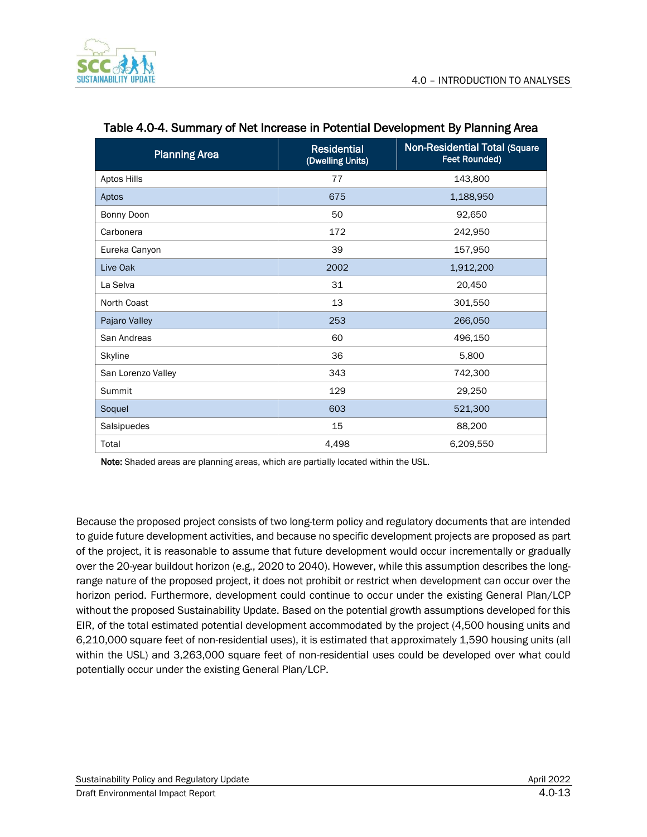

| <b>Planning Area</b> | <b>Residential</b><br>(Dwelling Units) | <b>Non-Residential Total (Square</b><br>Feet Rounded) |
|----------------------|----------------------------------------|-------------------------------------------------------|
| Aptos Hills          | 77                                     | 143,800                                               |
| Aptos                | 675                                    | 1,188,950                                             |
| Bonny Doon           | 50                                     | 92,650                                                |
| Carbonera            | 172                                    | 242,950                                               |
| Eureka Canyon        | 39                                     | 157,950                                               |
| Live Oak             | 2002                                   | 1,912,200                                             |
| La Selva             | 31                                     | 20,450                                                |
| North Coast          | 13                                     | 301,550                                               |
| Pajaro Valley        | 253                                    | 266,050                                               |
| San Andreas          | 60                                     | 496,150                                               |
| <b>Skyline</b>       | 36                                     | 5,800                                                 |
| San Lorenzo Valley   | 343                                    | 742,300                                               |
| <b>Summit</b>        | 129                                    | 29,250                                                |
| Soquel               | 603                                    | 521,300                                               |
| Salsipuedes          | 15                                     | 88,200                                                |
| Total                | 4,498                                  | 6,209,550                                             |

#### Table 4.0-4. Summary of Net Increase in Potential Development By Planning Area

Note: Shaded areas are planning areas, which are partially located within the USL.

Because the proposed project consists of two long-term policy and regulatory documents that are intended to guide future development activities, and because no specific development projects are proposed as part of the project, it is reasonable to assume that future development would occur incrementally or gradually over the 20-year buildout horizon (e.g., 2020 to 2040). However, while this assumption describes the longrange nature of the proposed project, it does not prohibit or restrict when development can occur over the horizon period. Furthermore, development could continue to occur under the existing General Plan/LCP without the proposed Sustainability Update. Based on the potential growth assumptions developed for this EIR, of the total estimated potential development accommodated by the project (4,500 housing units and 6,210,000 square feet of non-residential uses), it is estimated that approximately 1,590 housing units (all within the USL) and 3,263,000 square feet of non-residential uses could be developed over what could potentially occur under the existing General Plan/LCP.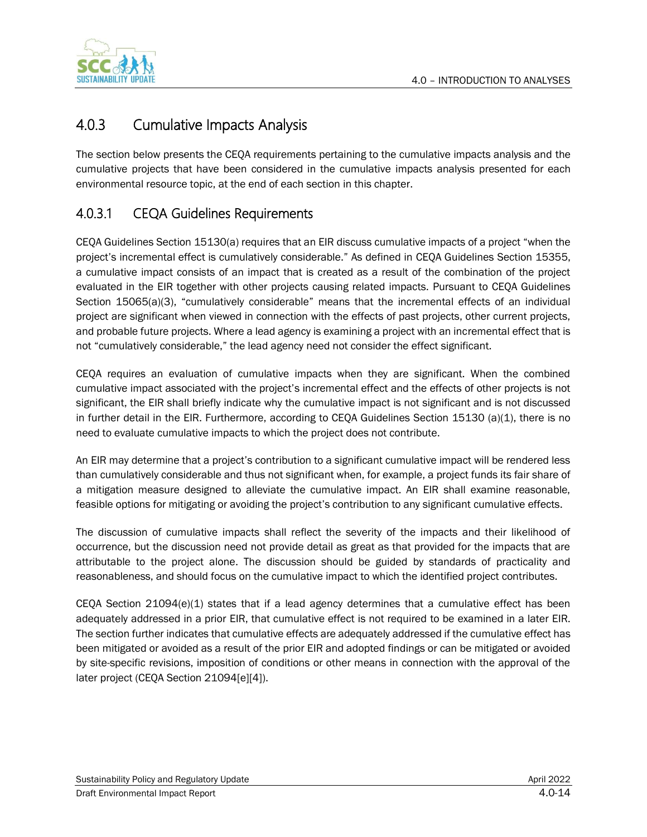

# 4.0.3 Cumulative Impacts Analysis

The section below presents the CEQA requirements pertaining to the cumulative impacts analysis and the cumulative projects that have been considered in the cumulative impacts analysis presented for each environmental resource topic, at the end of each section in this chapter.

# 4.0.3.1 CEQA Guidelines Requirements

CEQA Guidelines Section 15130(a) requires that an EIR discuss cumulative impacts of a project "when the project's incremental effect is cumulatively considerable." As defined in CEQA Guidelines Section 15355, a cumulative impact consists of an impact that is created as a result of the combination of the project evaluated in the EIR together with other projects causing related impacts. Pursuant to CEQA Guidelines Section 15065(a)(3), "cumulatively considerable" means that the incremental effects of an individual project are significant when viewed in connection with the effects of past projects, other current projects, and probable future projects. Where a lead agency is examining a project with an incremental effect that is not "cumulatively considerable," the lead agency need not consider the effect significant.

CEQA requires an evaluation of cumulative impacts when they are significant. When the combined cumulative impact associated with the project's incremental effect and the effects of other projects is not significant, the EIR shall briefly indicate why the cumulative impact is not significant and is not discussed in further detail in the EIR. Furthermore, according to CEQA Guidelines Section 15130 (a)(1), there is no need to evaluate cumulative impacts to which the project does not contribute.

An EIR may determine that a project's contribution to a significant cumulative impact will be rendered less than cumulatively considerable and thus not significant when, for example, a project funds its fair share of a mitigation measure designed to alleviate the cumulative impact. An EIR shall examine reasonable, feasible options for mitigating or avoiding the project's contribution to any significant cumulative effects.

The discussion of cumulative impacts shall reflect the severity of the impacts and their likelihood of occurrence, but the discussion need not provide detail as great as that provided for the impacts that are attributable to the project alone. The discussion should be guided by standards of practicality and reasonableness, and should focus on the cumulative impact to which the identified project contributes.

CEQA Section  $21094(e)(1)$  states that if a lead agency determines that a cumulative effect has been adequately addressed in a prior EIR, that cumulative effect is not required to be examined in a later EIR. The section further indicates that cumulative effects are adequately addressed if the cumulative effect has been mitigated or avoided as a result of the prior EIR and adopted findings or can be mitigated or avoided by site-specific revisions, imposition of conditions or other means in connection with the approval of the later project (CEQA Section 21094[e][4]).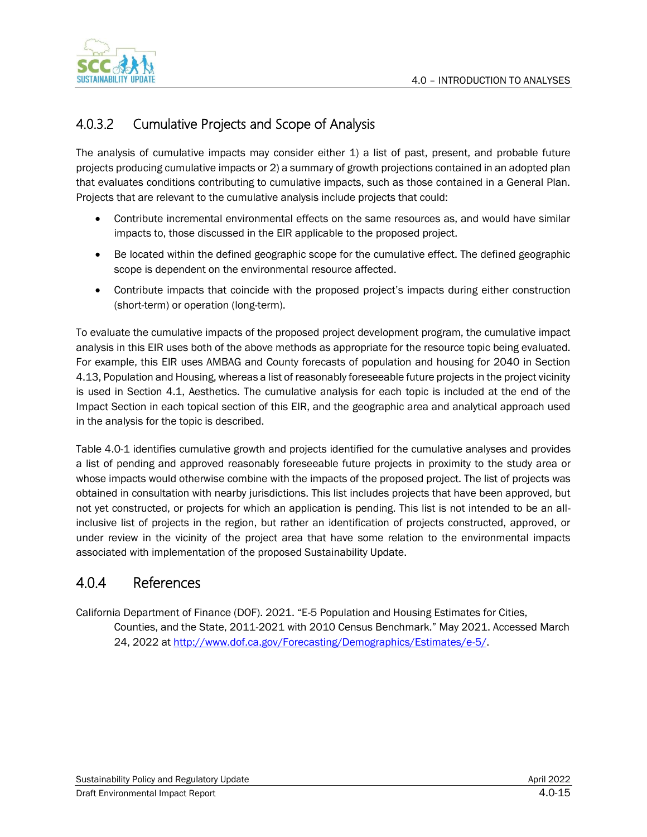

# 4.0.3.2 Cumulative Projects and Scope of Analysis

The analysis of cumulative impacts may consider either 1) a list of past, present, and probable future projects producing cumulative impacts or 2) a summary of growth projections contained in an adopted plan that evaluates conditions contributing to cumulative impacts, such as those contained in a General Plan. Projects that are relevant to the cumulative analysis include projects that could:

- Contribute incremental environmental effects on the same resources as, and would have similar impacts to, those discussed in the EIR applicable to the proposed project.
- Be located within the defined geographic scope for the cumulative effect. The defined geographic scope is dependent on the environmental resource affected.
- Contribute impacts that coincide with the proposed project's impacts during either construction (short-term) or operation (long-term).

To evaluate the cumulative impacts of the proposed project development program, the cumulative impact analysis in this EIR uses both of the above methods as appropriate for the resource topic being evaluated. For example, this EIR uses AMBAG and County forecasts of population and housing for 2040 in Section 4.13, Population and Housing, whereas a list of reasonably foreseeable future projects in the project vicinity is used in Section 4.1, Aesthetics. The cumulative analysis for each topic is included at the end of the Impact Section in each topical section of this EIR, and the geographic area and analytical approach used in the analysis for the topic is described.

Table 4.0-1 identifies cumulative growth and projects identified for the cumulative analyses and provides a list of pending and approved reasonably foreseeable future projects in proximity to the study area or whose impacts would otherwise combine with the impacts of the proposed project. The list of projects was obtained in consultation with nearby jurisdictions. This list includes projects that have been approved, but not yet constructed, or projects for which an application is pending. This list is not intended to be an allinclusive list of projects in the region, but rather an identification of projects constructed, approved, or under review in the vicinity of the project area that have some relation to the environmental impacts associated with implementation of the proposed Sustainability Update.

# 4.0.4 References

California Department of Finance (DOF). 2021. "E-5 Population and Housing Estimates for Cities, Counties, and the State, 2011-2021 with 2010 Census Benchmark." May 2021. Accessed March 24, 2022 at [http://www.dof.ca.gov/Forecasting/Demographics/Estimates/e-5/.](http://www.dof.ca.gov/Forecasting/Demographics/Estimates/e-5/)